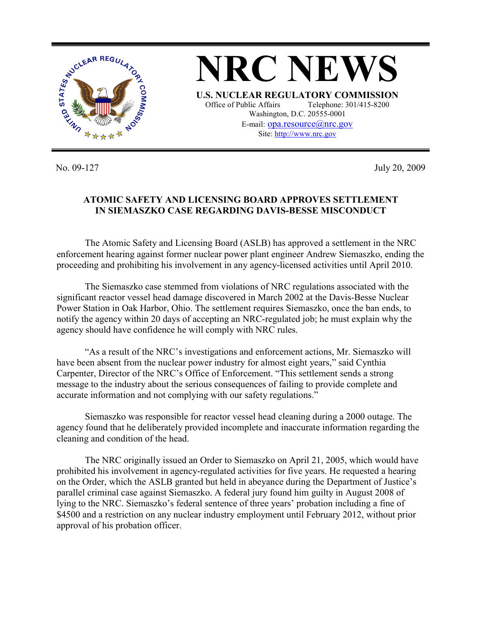

No. 09-127 July 20, 2009

## **ATOMIC SAFETY AND LICENSING BOARD APPROVES SETTLEMENT IN SIEMASZKO CASE REGARDING DAVIS-BESSE MISCONDUCT**

 The Atomic Safety and Licensing Board (ASLB) has approved a settlement in the NRC enforcement hearing against former nuclear power plant engineer Andrew Siemaszko, ending the proceeding and prohibiting his involvement in any agency-licensed activities until April 2010.

The Siemaszko case stemmed from violations of NRC regulations associated with the significant reactor vessel head damage discovered in March 2002 at the Davis-Besse Nuclear Power Station in Oak Harbor, Ohio. The settlement requires Siemaszko, once the ban ends, to notify the agency within 20 days of accepting an NRC-regulated job; he must explain why the agency should have confidence he will comply with NRC rules.

"As a result of the NRC's investigations and enforcement actions, Mr. Siemaszko will have been absent from the nuclear power industry for almost eight years," said Cynthia Carpenter, Director of the NRC's Office of Enforcement. "This settlement sends a strong message to the industry about the serious consequences of failing to provide complete and accurate information and not complying with our safety regulations."

Siemaszko was responsible for reactor vessel head cleaning during a 2000 outage. The agency found that he deliberately provided incomplete and inaccurate information regarding the cleaning and condition of the head.

The NRC originally issued an Order to Siemaszko on April 21, 2005, which would have prohibited his involvement in agency-regulated activities for five years. He requested a hearing on the Order, which the ASLB granted but held in abeyance during the Department of Justice's parallel criminal case against Siemaszko. A federal jury found him guilty in August 2008 of lying to the NRC. Siemaszko's federal sentence of three years' probation including a fine of \$4500 and a restriction on any nuclear industry employment until February 2012, without prior approval of his probation officer.